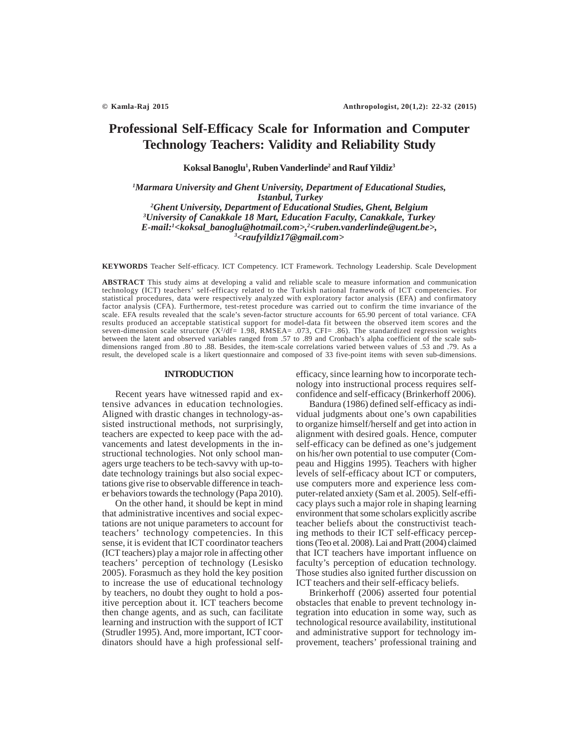# **Professional Self-Efficacy Scale for Information and Computer Technology Teachers: Validity and Reliability Study**

**Koksal Banoglu1 , Ruben Vanderlinde2 and Rauf Yildiz3**

*1 Marmara University and Ghent University, Department of Educational Studies, Istanbul, Turkey 2 Ghent University, Department of Educational Studies, Ghent, Belgium 3 University of Canakkale 18 Mart, Education Faculty, Canakkale, Turkey E-mail:1 <koksal\_banoglu@hotmail.com>,2 <ruben.vanderlinde@ugent.be>,*

*3 <raufyildiz17@gmail.com>*

**KEYWORDS** Teacher Self-efficacy. ICT Competency. ICT Framework. Technology Leadership. Scale Development

**ABSTRACT** This study aims at developing a valid and reliable scale to measure information and communication technology (ICT) teachers' self-efficacy related to the Turkish national framework of ICT competencies. For statistical procedures, data were respectively analyzed with exploratory factor analysis (EFA) and confirmatory factor analysis (CFA). Furthermore, test-retest procedure was carried out to confirm the time invariance of the scale. EFA results revealed that the scale's seven-factor structure accounts for 65.90 percent of total variance. CFA results produced an acceptable statistical support for model-data fit between the observed item scores and the seven-dimension scale structure  $(X^2/df= 1.98, RMSEA= .073, CFI= .86)$ . The standardized regression weights between the latent and observed variables ranged from .57 to .89 and Cronbach's alpha coefficient of the scale subdimensions ranged from .80 to .88. Besides, the item-scale correlations varied between values of .53 and .79. As a result, the developed scale is a likert questionnaire and composed of 33 five-point items with seven sub-dimensions.

## **INTRODUCTION**

Recent years have witnessed rapid and extensive advances in education technologies. Aligned with drastic changes in technology-assisted instructional methods, not surprisingly, teachers are expected to keep pace with the advancements and latest developments in the instructional technologies. Not only school managers urge teachers to be tech-savvy with up-todate technology trainings but also social expectations give rise to observable difference in teacher behaviors towards the technology (Papa 2010).

On the other hand, it should be kept in mind that administrative incentives and social expectations are not unique parameters to account for teachers' technology competencies. In this sense, it is evident that ICT coordinator teachers (ICT teachers) play a major role in affecting other teachers' perception of technology (Lesisko 2005). Forasmuch as they hold the key position to increase the use of educational technology by teachers, no doubt they ought to hold a positive perception about it. ICT teachers become then change agents, and as such, can facilitate learning and instruction with the support of ICT (Strudler 1995). And, more important, ICT coordinators should have a high professional selfefficacy, since learning how to incorporate technology into instructional process requires selfconfidence and self-efficacy (Brinkerhoff 2006).

Bandura (1986) defined self-efficacy as individual judgments about one's own capabilities to organize himself/herself and get into action in alignment with desired goals. Hence, computer self-efficacy can be defined as one's judgement on his/her own potential to use computer (Compeau and Higgins 1995). Teachers with higher levels of self-efficacy about ICT or computers, use computers more and experience less computer-related anxiety (Sam et al. 2005). Self-efficacy plays such a major role in shaping learning environment that some scholars explicitly ascribe teacher beliefs about the constructivist teaching methods to their ICT self-efficacy perceptions (Teo et al. 2008). Lai and Pratt (2004) claimed that ICT teachers have important influence on faculty's perception of education technology. Those studies also ignited further discussion on ICT teachers and their self-efficacy beliefs.

Brinkerhoff (2006) asserted four potential obstacles that enable to prevent technology integration into education in some way, such as technological resource availability, institutional and administrative support for technology improvement, teachers' professional training and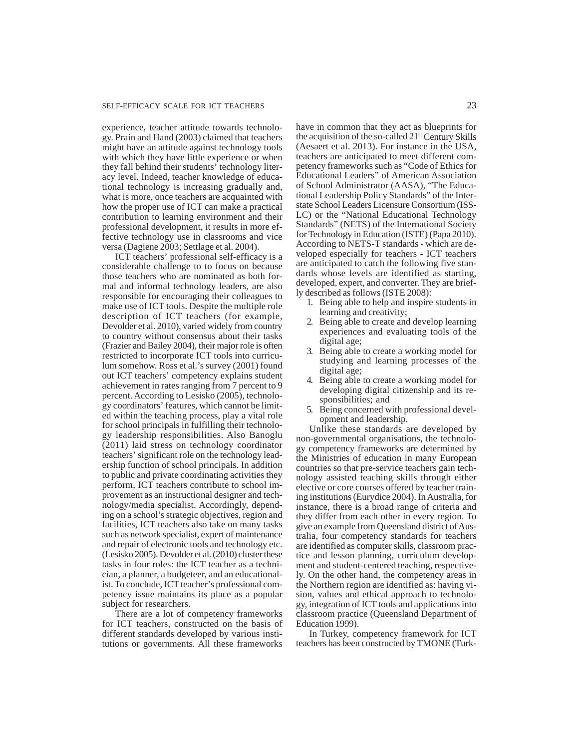experience, teacher attitude towards technology. Prain and Hand (2003) claimed that teachers might have an attitude against technology tools with which they have little experience or when they fall behind their students' technology literacy level. Indeed, teacher knowledge of educational technology is increasing gradually and, what is more, once teachers are acquainted with how the proper use of ICT can make a practical contribution to learning environment and their professional development, it results in more effective technology use in classrooms and vice versa (Dagiene 2003; Settlage et al. 2004).

ICT teachers' professional self-efficacy is a considerable challenge to to focus on because those teachers who are nominated as both formal and informal technology leaders, are also responsible for encouraging their colleagues to make use of ICT tools. Despite the multiple role description of ICT teachers (for example, Devolder et al. 2010), varied widely from country to country without consensus about their tasks (Frazier and Bailey 2004), their major role is often restricted to incorporate ICT tools into curriculum somehow. Ross et al.'s survey (2001) found out ICT teachers' competency explains student achievement in rates ranging from 7 percent to 9 percent. According to Lesisko (2005), technology coordinators' features, which cannot be limited within the teaching process, play a vital role for school principals in fulfilling their technology leadership responsibilities. Also Banoglu (2011) laid stress on technology coordinator teachers' significant role on the technology leadership function of school principals. In addition to public and private coordinating activities they perform, ICT teachers contribute to school improvement as an instructional designer and technology/media specialist. Accordingly, depending on a school's strategic objectives, region and facilities, ICT teachers also take on many tasks such as network specialist, expert of maintenance and repair of electronic tools and technology etc. (Lesisko 2005). Devolder et al. (2010) cluster these tasks in four roles: the ICT teacher as a technician, a planner, a budgeteer, and an educationalist. To conclude, ICT teacher's professional competency issue maintains its place as a popular subject for researchers.

There are a lot of competency frameworks for ICT teachers, constructed on the basis of different standards developed by various institutions or governments. All these frameworks

have in common that they act as blueprints for the acquisition of the so-called  $21<sup>st</sup>$  Century Skills (Aesaert et al. 2013). For instance in the USA, teachers are anticipated to meet different competency frameworks such as "Code of Ethics for Educational Leaders" of American Association of School Administrator (AASA), "The Educational Leadership Policy Standards" of the Interstate School Leaders Licensure Consortium (ISS-LC) or the "National Educational Technology Standards" (NETS) of the International Society for Technology in Education (ISTE) (Papa 2010). According to NETS-T standards - which are developed especially for teachers - ICT teachers are anticipated to catch the following five standards whose levels are identified as starting, developed, expert, and converter. They are briefly described as follows (ISTE 2008):

- 1. Being able to help and inspire students in learning and creativity;
- 2. Being able to create and develop learning experiences and evaluating tools of the digital age;
- 3. Being able to create a working model for studying and learning processes of the digital age;
- 4. Being able to create a working model for developing digital citizenship and its responsibilities; and
- 5. Being concerned with professional development and leadership.

Unlike these standards are developed by non-governmental organisations, the technology competency frameworks are determined by the Ministries of education in many European countries so that pre-service teachers gain technology assisted teaching skills through either elective or core courses offered by teacher training institutions (Eurydice 2004). In Australia, for instance, there is a broad range of criteria and they differ from each other in every region. To give an example from Queensland district of Australia, four competency standards for teachers are identified as computer skills, classroom practice and lesson planning, curriculum development and student-centered teaching, respectively. On the other hand, the competency areas in the Northern region are identified as: having vision, values and ethical approach to technology, integration of ICT tools and applications into classroom practice (Queensland Department of Education 1999).

In Turkey, competency framework for ICT teachers has been constructed by TMONE (Turk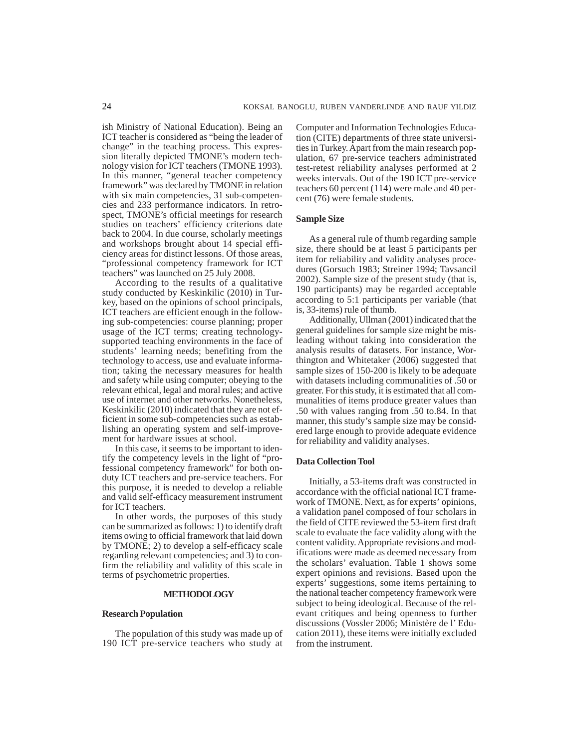ish Ministry of National Education). Being an ICT teacher is considered as "being the leader of change" in the teaching process. This expression literally depicted TMONE's modern technology vision for ICT teachers (TMONE 1993). In this manner, "general teacher competency framework" was declared by TMONE in relation with six main competencies, 31 sub-competencies and 233 performance indicators. In retrospect, TMONE's official meetings for research studies on teachers' efficiency criterions date back to 2004. In due course, scholarly meetings and workshops brought about 14 special efficiency areas for distinct lessons. Of those areas, "professional competency framework for ICT teachers" was launched on 25 July 2008.

According to the results of a qualitative study conducted by Keskinkilic (2010) in Turkey, based on the opinions of school principals, ICT teachers are efficient enough in the following sub-competencies: course planning; proper usage of the ICT terms; creating technologysupported teaching environments in the face of students' learning needs; benefiting from the technology to access, use and evaluate information; taking the necessary measures for health and safety while using computer; obeying to the relevant ethical, legal and moral rules; and active use of internet and other networks. Nonetheless, Keskinkilic (2010) indicated that they are not efficient in some sub-competencies such as establishing an operating system and self-improvement for hardware issues at school.

In this case, it seems to be important to identify the competency levels in the light of "professional competency framework" for both onduty ICT teachers and pre-service teachers. For this purpose, it is needed to develop a reliable and valid self-efficacy measurement instrument for ICT teachers.

In other words, the purposes of this study can be summarized as follows: 1) to identify draft items owing to official framework that laid down by TMONE; 2) to develop a self-efficacy scale regarding relevant competencies; and 3) to confirm the reliability and validity of this scale in terms of psychometric properties.

# **METHODOLOGY**

# **Research Population**

The population of this study was made up of 190 ICT pre-service teachers who study at Computer and Information Technologies Education (CITE) departments of three state universities in Turkey. Apart from the main research population, 67 pre-service teachers administrated test-retest reliability analyses performed at 2 weeks intervals. Out of the 190 ICT pre-service teachers 60 percent (114) were male and 40 percent (76) were female students.

# **Sample Size**

As a general rule of thumb regarding sample size, there should be at least 5 participants per item for reliability and validity analyses procedures (Gorsuch 1983; Streiner 1994; Tavsancil 2002). Sample size of the present study (that is, 190 participants) may be regarded acceptable according to 5:1 participants per variable (that is, 33-items) rule of thumb.

Additionally, Ullman (2001) indicated that the general guidelines for sample size might be misleading without taking into consideration the analysis results of datasets. For instance, Worthington and Whitetaker (2006) suggested that sample sizes of 150-200 is likely to be adequate with datasets including communalities of .50 or greater. For this study, it is estimated that all communalities of items produce greater values than .50 with values ranging from .50 to.84. In that manner, this study's sample size may be considered large enough to provide adequate evidence for reliability and validity analyses.

#### **Data Collection Tool**

Initially, a 53-items draft was constructed in accordance with the official national ICT framework of TMONE. Next, as for experts' opinions, a validation panel composed of four scholars in the field of CITE reviewed the 53-item first draft scale to evaluate the face validity along with the content validity. Appropriate revisions and modifications were made as deemed necessary from the scholars' evaluation. Table 1 shows some expert opinions and revisions. Based upon the experts' suggestions, some items pertaining to the national teacher competency framework were subject to being ideological. Because of the relevant critiques and being openness to further discussions (Vossler 2006; Ministère de l' Education 2011), these items were initially excluded from the instrument.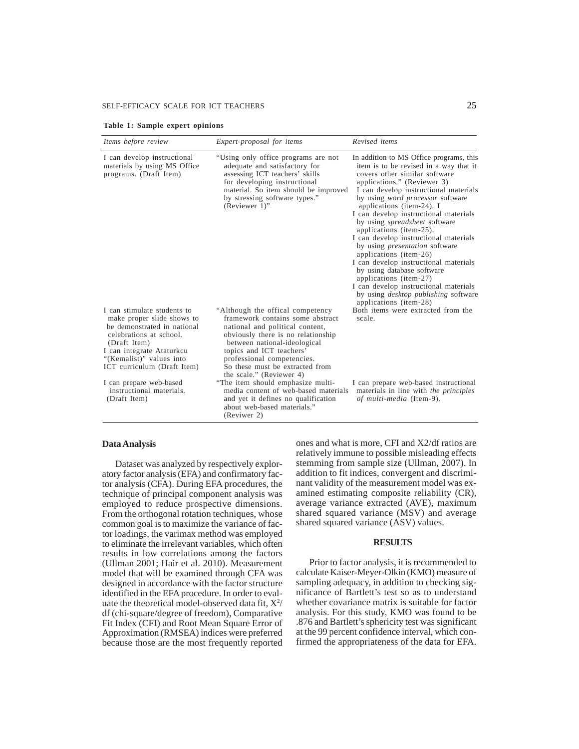# SELF-EFFICACY SCALE FOR ICT TEACHERS 25

| Table 1: Sample expert opinions |  |  |
|---------------------------------|--|--|
|---------------------------------|--|--|

| Items before review                                                                                                                                                                                                                                                                | Expert-proposal for items                                                                                                                                                                                                                                                                                                                                                            | Revised items                                                                                                                                                                                                                                                                                                                                                                                                                                                                                                                                                                                                                                                                                                 |
|------------------------------------------------------------------------------------------------------------------------------------------------------------------------------------------------------------------------------------------------------------------------------------|--------------------------------------------------------------------------------------------------------------------------------------------------------------------------------------------------------------------------------------------------------------------------------------------------------------------------------------------------------------------------------------|---------------------------------------------------------------------------------------------------------------------------------------------------------------------------------------------------------------------------------------------------------------------------------------------------------------------------------------------------------------------------------------------------------------------------------------------------------------------------------------------------------------------------------------------------------------------------------------------------------------------------------------------------------------------------------------------------------------|
| I can develop instructional<br>materials by using MS Office<br>programs. (Draft Item)                                                                                                                                                                                              | "Using only office programs are not<br>adequate and satisfactory for<br>assessing ICT teachers' skills<br>for developing instructional<br>material. So item should be improved<br>by stressing software types."<br>(Reviewer 1)"                                                                                                                                                     | In addition to MS Office programs, this<br>item is to be revised in a way that it<br>covers other similar software<br>applications." (Reviewer 3)<br>I can develop instructional materials<br>by using <i>word processor</i> software<br>applications (item-24). I<br>I can develop instructional materials<br>by using <i>spreadsheet</i> software<br>applications (item-25).<br>I can develop instructional materials<br>by using <i>presentation</i> software<br>applications (item-26)<br>I can develop instructional materials<br>by using database software<br>applications (item-27)<br>I can develop instructional materials<br>by using <i>desktop publishing</i> software<br>applications (item-28) |
| I can stimulate students to<br>make proper slide shows to<br>be demonstrated in national<br>celebrations at school.<br>(Draft Item)<br>I can integrate Ataturkcu<br>"(Kemalist)" values into<br>ICT curriculum (Draft Item)<br>I can prepare web-based<br>instructional materials. | "Although the offical competency"<br>framework contains some abstract<br>national and political content,<br>obviously there is no relationship<br>between national-ideological<br>topics and ICT teachers'<br>professional competencies.<br>So these must be extracted from<br>the scale." (Reviewer 4)<br>"The item should emphasize multi-<br>media content of web-based materials | Both items were extracted from the<br>scale.<br>I can prepare web-based instructional<br>materials in line with the principles                                                                                                                                                                                                                                                                                                                                                                                                                                                                                                                                                                                |
| (Draft Item)                                                                                                                                                                                                                                                                       | and yet it defines no qualification<br>about web-based materials."<br>(Reviwer 2)                                                                                                                                                                                                                                                                                                    | of multi-media (Item-9).                                                                                                                                                                                                                                                                                                                                                                                                                                                                                                                                                                                                                                                                                      |

## **Data Analysis**

Dataset was analyzed by respectively exploratory factor analysis (EFA) and confirmatory factor analysis (CFA). During EFA procedures, the technique of principal component analysis was employed to reduce prospective dimensions. From the orthogonal rotation techniques, whose common goal is to maximize the variance of factor loadings, the varimax method was employed to eliminate the irrelevant variables, which often results in low correlations among the factors (Ullman 2001; Hair et al. 2010). Measurement model that will be examined through CFA was designed in accordance with the factor structure identified in the EFA procedure. In order to evaluate the theoretical model-observed data fit,  $X^2$ / df (chi-square/degree of freedom), Comparative Fit Index (CFI) and Root Mean Square Error of Approximation (RMSEA) indices were preferred because those are the most frequently reported ones and what is more, CFI and X2/df ratios are relatively immune to possible misleading effects stemming from sample size (Ullman, 2007). In addition to fit indices, convergent and discriminant validity of the measurement model was examined estimating composite reliability (CR), average variance extracted (AVE), maximum shared squared variance (MSV) and average shared squared variance (ASV) values.

#### **RESULTS**

Prior to factor analysis, it is recommended to calculate Kaiser-Meyer-Olkin (KMO) measure of sampling adequacy, in addition to checking significance of Bartlett's test so as to understand whether covariance matrix is suitable for factor analysis. For this study, KMO was found to be .876 and Bartlett's sphericity test was significant at the 99 percent confidence interval, which confirmed the appropriateness of the data for EFA.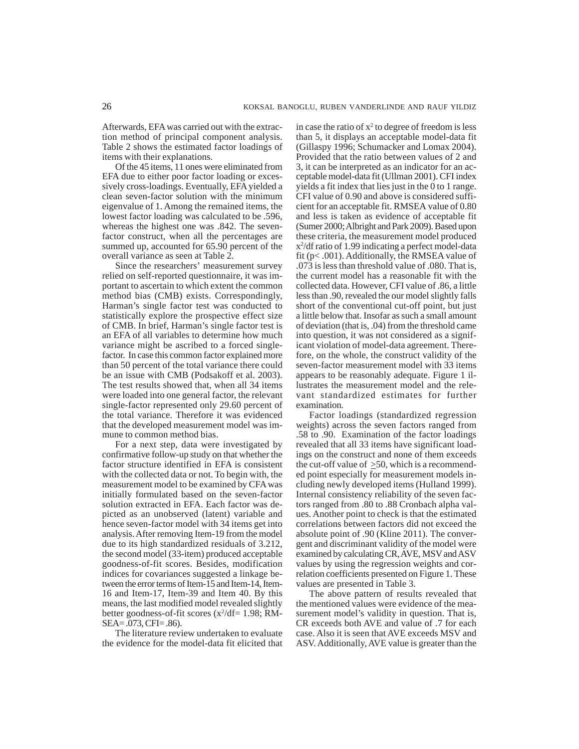Afterwards, EFA was carried out with the extraction method of principal component analysis. Table 2 shows the estimated factor loadings of items with their explanations.

Of the 45 items, 11 ones were eliminated from EFA due to either poor factor loading or excessively cross-loadings. Eventually, EFA yielded a clean seven-factor solution with the minimum eigenvalue of 1. Among the remained items, the lowest factor loading was calculated to be .596, whereas the highest one was .842. The sevenfactor construct, when all the percentages are summed up, accounted for 65.90 percent of the overall variance as seen at Table 2.

Since the researchers' measurement survey relied on self-reported questionnaire, it was important to ascertain to which extent the common method bias (CMB) exists. Correspondingly, Harman's single factor test was conducted to statistically explore the prospective effect size of CMB. In brief, Harman's single factor test is an EFA of all variables to determine how much variance might be ascribed to a forced singlefactor. In case this common factor explained more than 50 percent of the total variance there could be an issue with CMB (Podsakoff et al. 2003). The test results showed that, when all 34 items were loaded into one general factor, the relevant single-factor represented only 29.60 percent of the total variance. Therefore it was evidenced that the developed measurement model was immune to common method bias.

For a next step, data were investigated by confirmative follow-up study on that whether the factor structure identified in EFA is consistent with the collected data or not. To begin with, the measurement model to be examined by CFA was initially formulated based on the seven-factor solution extracted in EFA. Each factor was depicted as an unobserved (latent) variable and hence seven-factor model with 34 items get into analysis. After removing Item-19 from the model due to its high standardized residuals of 3.212, the second model (33-item) produced acceptable goodness-of-fit scores. Besides, modification indices for covariances suggested a linkage between the error terms of Item-15 and Item-14, Item-16 and Item-17, Item-39 and Item 40. By this means, the last modified model revealed slightly better goodness-of-fit scores  $(x^2/df=1.98; RM-$ SEA= .073, CFI= .86).

The literature review undertaken to evaluate the evidence for the model-data fit elicited that

in case the ratio of  $x^2$  to degree of freedom is less than 5, it displays an acceptable model-data fit (Gillaspy 1996; Schumacker and Lomax 2004). Provided that the ratio between values of 2 and 3, it can be interpreted as an indicator for an acceptable model-data fit (Ullman 2001). CFI index yields a fit index that lies just in the 0 to 1 range. CFI value of 0.90 and above is considered sufficient for an acceptable fit. RMSEA value of 0.80 and less is taken as evidence of acceptable fit (Sumer 2000; Albright and Park 2009). Based upon these criteria, the measurement model produced x2 /df ratio of 1.99 indicating a perfect model-data fit (p< .001). Additionally, the RMSEA value of .073 is less than threshold value of .080. That is, the current model has a reasonable fit with the collected data. However, CFI value of .86, a little less than .90, revealed the our model slightly falls short of the conventional cut-off point, but just a little below that. Insofar as such a small amount of deviation (that is, .04) from the threshold came into question, it was not considered as a significant violation of model-data agreement. Therefore, on the whole, the construct validity of the seven-factor measurement model with 33 items appears to be reasonably adequate. Figure 1 illustrates the measurement model and the relevant standardized estimates for further examination.

Factor loadings (standardized regression weights) across the seven factors ranged from .58 to .90. Examination of the factor loadings revealed that all 33 items have significant loadings on the construct and none of them exceeds the cut-off value of >50, which is a recommended point especially for measurement models including newly developed items (Hulland 1999). Internal consistency reliability of the seven factors ranged from .80 to .88 Cronbach alpha values. Another point to check is that the estimated correlations between factors did not exceed the absolute point of .90 (Kline 2011). The convergent and discriminant validity of the model were examined by calculating CR, AVE, MSV and ASV values by using the regression weights and correlation coefficients presented on Figure 1. These values are presented in Table 3.

The above pattern of results revealed that the mentioned values were evidence of the measurement model's validity in question. That is, CR exceeds both AVE and value of .7 for each case. Also it is seen that AVE exceeds MSV and ASV. Additionally, AVE value is greater than the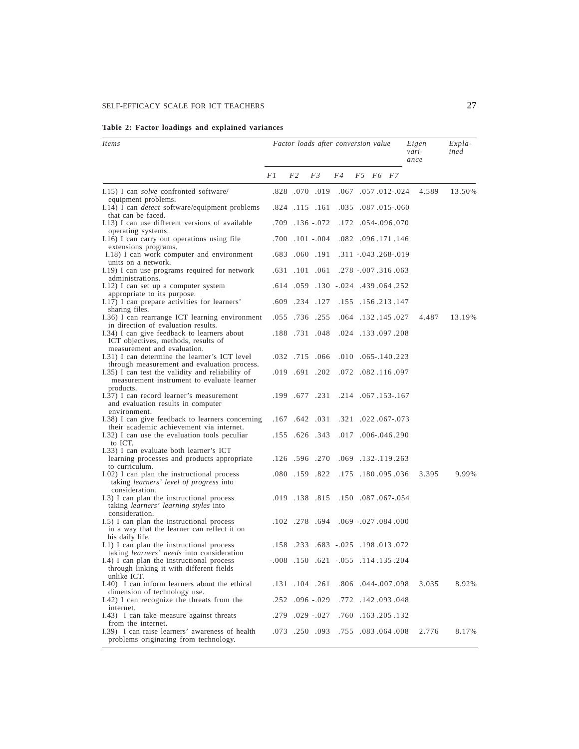|  |  | Table 2: Factor loadings and explained variances |  |
|--|--|--------------------------------------------------|--|
|  |  |                                                  |  |

| <i>Items</i>                                                                                                                                               | Factor loads after conversion value |                |                 |                                            |                              |              | Eigen<br>vari-<br>ance | Expla-<br>ined |  |
|------------------------------------------------------------------------------------------------------------------------------------------------------------|-------------------------------------|----------------|-----------------|--------------------------------------------|------------------------------|--------------|------------------------|----------------|--|
|                                                                                                                                                            |                                     | F2             | F3              | F4                                         | F5                           | F6 F7        |                        |                |  |
| 1.15) I can <i>solve</i> confronted software/                                                                                                              |                                     |                | .828 .070 .019  |                                            | .067.012-.024                |              | 4.589                  | 13.50%         |  |
| equipment problems.<br>I.14) I can <i>detect</i> software/equipment problems<br>that can be faced.                                                         | .824                                |                | .115 .161       |                                            | .035 .087 .015 .060          |              |                        |                |  |
| I.13) I can use different versions of available<br>operating systems.                                                                                      | .709                                |                | $.136 - .072$   |                                            | .172 .054 - .096 .070        |              |                        |                |  |
| I.16) I can carry out operations using file<br>extensions programs.                                                                                        | .700                                |                | $.101-.004$     |                                            | .082 .096 .171 .146          |              |                        |                |  |
| I.18) I can work computer and environment<br>units on a network.                                                                                           | .683                                |                | .060.191        |                                            | .311 -.043 .268 -.019        |              |                        |                |  |
| I.19) I can use programs required for network<br>administrations.                                                                                          | .631                                |                | $.101$ $.061$   |                                            | .278 - .007 .316 .063        |              |                        |                |  |
| I.12) I can set up a computer system<br>appropriate to its purpose.                                                                                        | .614                                | .059           |                 | .130 .024 .439 .064 .252                   |                              |              |                        |                |  |
| I.17) I can prepare activities for learners'<br>sharing files.                                                                                             | .609                                | .234           | .127            |                                            | .155 .156 .213 .147          |              |                        |                |  |
| 1.36) I can rearrange ICT learning environment<br>in direction of evaluation results.                                                                      | .055                                |                | .736 .255       | .064                                       |                              | .132.145.027 | 4.487                  | 13.19%         |  |
| I.34) I can give feedback to learners about<br>ICT objectives, methods, results of<br>measurement and evaluation.                                          | .188                                |                | .731 .048       |                                            | .024 .133 .097 .208          |              |                        |                |  |
| I.31) I can determine the learner's ICT level                                                                                                              |                                     |                | .032 .715 .066  |                                            | $.010$ $.065 - .140$ .223    |              |                        |                |  |
| through measurement and evaluation process.<br>I.35) I can test the validity and reliability of<br>measurement instrument to evaluate learner<br>products. |                                     |                | .019 .691 .202  |                                            | .072 .082 .116 .097          |              |                        |                |  |
| I.37) I can record learner's measurement<br>and evaluation results in computer                                                                             |                                     |                | .199 .677 .231  |                                            | .214 .067 .153 - .167        |              |                        |                |  |
| environment.<br>1.38) I can give feedback to learners concerning<br>their academic achievement via internet.                                               |                                     |                | .167.642.031    |                                            | .321 .022 .067 - .073        |              |                        |                |  |
| I.32) I can use the evaluation tools peculiar<br>to ICT.                                                                                                   |                                     |                | .155 .626 .343  |                                            | $.017$ $.006$ $-.046$ $.290$ |              |                        |                |  |
| I.33) I can evaluate both learner's ICT<br>learning processes and products appropriate<br>to curriculum.                                                   |                                     |                | .126 .596 .270  |                                            | .069.132-.119.263            |              |                        |                |  |
| I.02) I can plan the instructional process<br>taking <i>learners' level of progress</i> into                                                               | .080                                |                | .159.822        |                                            | .175 .180 .095 .036          |              | 3.395                  | 9.99%          |  |
| consideration.<br>I.3) I can plan the instructional process<br>taking learners' learning styles into                                                       |                                     |                | .019 .138 .815  |                                            | .150 .087 .067 .054          |              |                        |                |  |
| consideration.<br>I.5) I can plan the instructional process<br>in a way that the learner can reflect it on                                                 |                                     |                | .102.278.694    |                                            | .069 - 027 .084 .000         |              |                        |                |  |
| his daily life.<br>I.1) I can plan the instructional process                                                                                               |                                     |                |                 | .158.072 .025.025.013.072                  |                              |              |                        |                |  |
| taking learners' needs into consideration<br>I.4) I can plan the instructional process<br>through linking it with different fields                         |                                     |                |                 | $-0.008$ .150 .621 $-0.055$ .114 .135 .204 |                              |              |                        |                |  |
| unlike ICT.<br>I.40) I can inform learners about the ethical                                                                                               |                                     | .131 .104 .261 |                 |                                            | .806 .044 -.007 .098         |              | 3.035                  | 8.92%          |  |
| dimension of technology use.<br>I.42) I can recognize the threats from the                                                                                 |                                     |                | .252.096.029    |                                            | .772 .142 .093 .048          |              |                        |                |  |
| internet.<br>I.43) I can take measure against threats<br>from the internet.                                                                                |                                     |                | .279. 029. 279. |                                            | .760 .163 .205 .132          |              |                        |                |  |
| I.39) I can raise learners' awareness of health<br>problems originating from technology.                                                                   |                                     |                | .073 .250 .093  |                                            | .755 .083 .064 .008          |              | 2.776                  | 8.17%          |  |

L,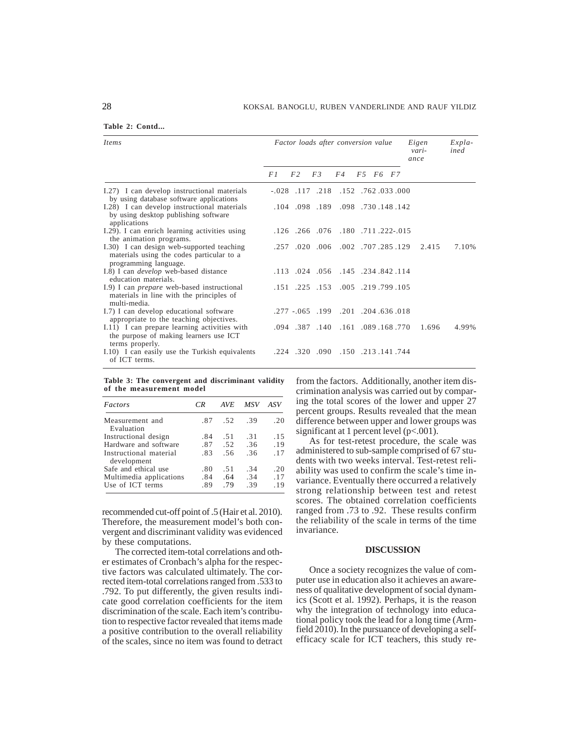| Items                                                                                                           | Factor loads after conversion value |                |     |                                           |  |          |  | Eigen<br>vari-<br>ance | $Expla-$<br>ined |
|-----------------------------------------------------------------------------------------------------------------|-------------------------------------|----------------|-----|-------------------------------------------|--|----------|--|------------------------|------------------|
|                                                                                                                 | F 1                                 | F <sub>2</sub> | F.3 | F4                                        |  | F5 F6 F7 |  |                        |                  |
| I.27) I can develop instructional materials<br>by using database software applications                          |                                     |                |     | 000. 033. 762. 152. 218. 152. 033.        |  |          |  |                        |                  |
| I.28) I can develop instructional materials<br>by using desktop publishing software<br>applications             |                                     |                |     | .142. 148. 730. 189. 189. 104. 104.       |  |          |  |                        |                  |
| I.29). I can enrich learning activities using<br>the animation programs.                                        |                                     |                |     | .126. .222. .171. .180. .180. .126. .126. |  |          |  |                        |                  |
| I.30) I can design web-supported teaching<br>materials using the codes particular to a<br>programming language. |                                     |                |     | .257 .020 .006 .002 .707 .285 .129        |  |          |  | 2.415                  | 7.10%            |
| I.8) I can <i>develop</i> web-based distance<br>education materials.                                            |                                     |                |     | .113 .024 .056 .145 .234 .842 .113        |  |          |  |                        |                  |
| I.9) I can <i>prepare</i> web-based instructional<br>materials in line with the principles of<br>multi-media.   |                                     |                |     | .151 .225 .153 .005 .219 .799 .105        |  |          |  |                        |                  |
| I.7) I can develop educational software<br>appropriate to the teaching objectives.                              |                                     |                |     | .277 - 065 199 .201 .204 .636 .018        |  |          |  |                        |                  |
| I.11) I can prepare learning activities with<br>the purpose of making learners use ICT<br>terms properly.       |                                     |                |     | .094 .387 .140 .161 .089 .168 .770        |  |          |  | 1.696                  | 4.99%            |
| I.10) I can easily use the Turkish equivalents<br>of ICT terms.                                                 |                                     |                |     | .224.141.744. 150. 090. 320. 224.         |  |          |  |                        |                  |

**Table 3: The convergent and discriminant validity of the measurement model**

| Factors                                                                            | CR.               | AVE               | MSV               | ASV               |
|------------------------------------------------------------------------------------|-------------------|-------------------|-------------------|-------------------|
| Measurement and<br>Evaluation                                                      | .87               | .52               | .39               | .20               |
| Instructional design<br>Hardware and software<br>Instructional material            | .84<br>.87<br>.83 | .51<br>.52<br>.56 | .31<br>.36<br>.36 | .15<br>.19<br>.17 |
| development<br>Safe and ethical use<br>Multimedia applications<br>Use of ICT terms | .80<br>.84<br>.89 | .51<br>.64<br>.79 | .34<br>.34<br>.39 | .20<br>.17<br>.19 |

recommended cut-off point of .5 (Hair et al. 2010). Therefore, the measurement model's both convergent and discriminant validity was evidenced by these computations.

The corrected item-total correlations and other estimates of Cronbach's alpha for the respective factors was calculated ultimately. The corrected item-total correlations ranged from .533 to .792. To put differently, the given results indicate good correlation coefficients for the item discrimination of the scale. Each item's contribution to respective factor revealed that items made a positive contribution to the overall reliability of the scales, since no item was found to detract from the factors. Additionally, another item discrimination analysis was carried out by comparing the total scores of the lower and upper 27 percent groups. Results revealed that the mean difference between upper and lower groups was significant at 1 percent level (p<.001).

As for test-retest procedure, the scale was administered to sub-sample comprised of 67 students with two weeks interval. Test-retest reliability was used to confirm the scale's time invariance. Eventually there occurred a relatively strong relationship between test and retest scores. The obtained correlation coefficients ranged from .73 to .92. These results confirm the reliability of the scale in terms of the time invariance.

#### **DISCUSSION**

Once a society recognizes the value of computer use in education also it achieves an awareness of qualitative development of social dynamics (Scott et al. 1992). Perhaps, it is the reason why the integration of technology into educational policy took the lead for a long time (Armfield 2010). In the pursuance of developing a selfefficacy scale for ICT teachers, this study re-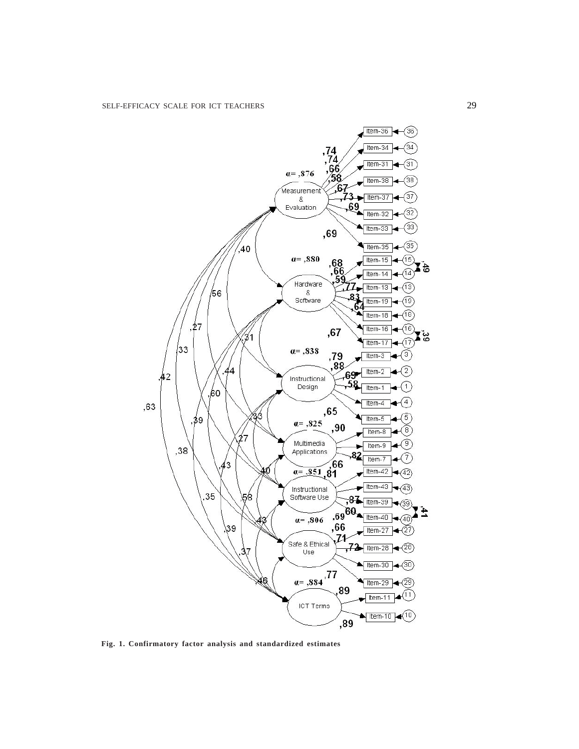

**Fig. 1. Confirmatory factor analysis and standardized estimates**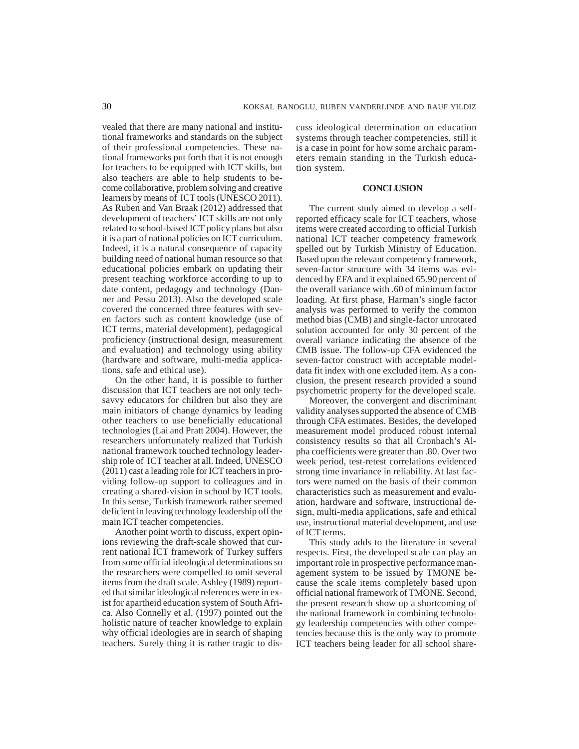vealed that there are many national and institutional frameworks and standards on the subject of their professional competencies. These national frameworks put forth that it is not enough for teachers to be equipped with ICT skills, but also teachers are able to help students to become collaborative, problem solving and creative learners by means of ICT tools (UNESCO 2011). As Ruben and Van Braak (2012) addressed that development of teachers' ICT skills are not only related to school-based ICT policy plans but also it is a part of national policies on ICT curriculum. Indeed, it is a natural consequence of capacity building need of national human resource so that educational policies embark on updating their present teaching workforce according to up to date content, pedagogy and technology (Danner and Pessu 2013). Also the developed scale covered the concerned three features with seven factors such as content knowledge (use of ICT terms, material development), pedagogical proficiency (instructional design, measurement and evaluation) and technology using ability (hardware and software, multi-media applications, safe and ethical use).

On the other hand, it is possible to further discussion that ICT teachers are not only techsavvy educators for children but also they are main initiators of change dynamics by leading other teachers to use beneficially educational technologies (Lai and Pratt 2004). However, the researchers unfortunately realized that Turkish national framework touched technology leadership role of ICT teacher at all. Indeed, UNESCO (2011) cast a leading role for ICT teachers in providing follow-up support to colleagues and in creating a shared-vision in school by ICT tools. In this sense, Turkish framework rather seemed deficient in leaving technology leadership off the main ICT teacher competencies.

Another point worth to discuss, expert opinions reviewing the draft-scale showed that current national ICT framework of Turkey suffers from some official ideological determinations so the researchers were compelled to omit several items from the draft scale. Ashley (1989) reported that similar ideological references were in exist for apartheid education system of South Africa. Also Connelly et al. (1997) pointed out the holistic nature of teacher knowledge to explain why official ideologies are in search of shaping teachers. Surely thing it is rather tragic to discuss ideological determination on education systems through teacher competencies, still it is a case in point for how some archaic parameters remain standing in the Turkish education system.

# **CONCLUSION**

The current study aimed to develop a selfreported efficacy scale for ICT teachers, whose items were created according to official Turkish national ICT teacher competency framework spelled out by Turkish Ministry of Education. Based upon the relevant competency framework, seven-factor structure with 34 items was evidenced by EFA and it explained 65.90 percent of the overall variance with .60 of minimum factor loading. At first phase, Harman's single factor analysis was performed to verify the common method bias (CMB) and single-factor unrotated solution accounted for only 30 percent of the overall variance indicating the absence of the CMB issue. The follow-up CFA evidenced the seven-factor construct with acceptable modeldata fit index with one excluded item. As a conclusion, the present research provided a sound psychometric property for the developed scale.

Moreover, the convergent and discriminant validity analyses supported the absence of CMB through CFA estimates. Besides, the developed measurement model produced robust internal consistency results so that all Cronbach's Alpha coefficients were greater than .80. Over two week period, test-retest correlations evidenced strong time invariance in reliability. At last factors were named on the basis of their common characteristics such as measurement and evaluation, hardware and software, instructional design, multi-media applications, safe and ethical use, instructional material development, and use of ICT terms.

This study adds to the literature in several respects. First, the developed scale can play an important role in prospective performance management system to be issued by TMONE because the scale items completely based upon official national framework of TMONE. Second, the present research show up a shortcoming of the national framework in combining technology leadership competencies with other competencies because this is the only way to promote ICT teachers being leader for all school share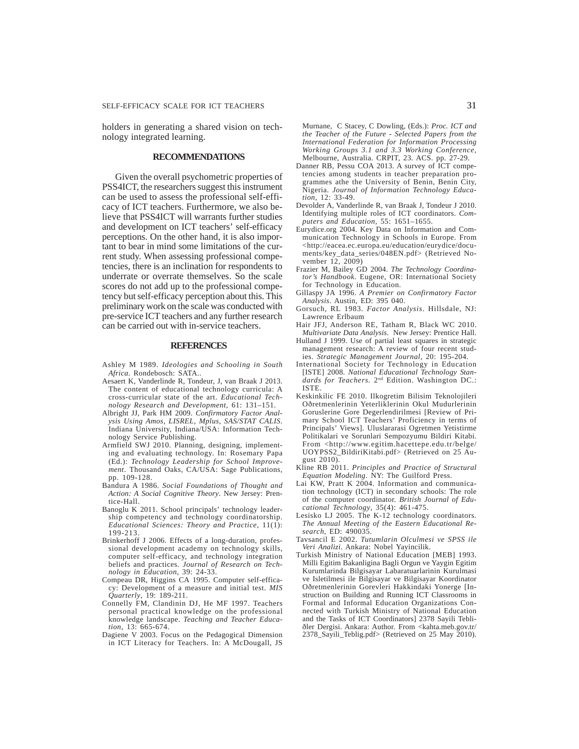holders in generating a shared vision on technology integrated learning.

#### **RECOMMENDATIONS**

Given the overall psychometric properties of PSS4ICT, the researchers suggest this instrument can be used to assess the professional self-efficacy of ICT teachers. Furthermore, we also believe that PSS4ICT will warrants further studies and development on ICT teachers' self-efficacy perceptions. On the other hand, it is also important to bear in mind some limitations of the current study. When assessing professional competencies, there is an inclination for respondents to underrate or overrate themselves. So the scale scores do not add up to the professional competency but self-efficacy perception about this. This preliminary work on the scale was conducted with pre-service ICT teachers and any further research can be carried out with in-service teachers.

#### **REFERENCES**

- Ashley M 1989. *Ideologies and Schooling in South Africa.* Rondebosch: SATA..
- Aesaert K, Vanderlinde R, Tondeur, J, van Braak J 2013. The content of educational technology curricula: A cross-curricular state of the art. *Educational Technology Research and Development,* 61: 131–151.
- Albright JJ, Park HM 2009. *Confirmatory Factor Analysis Using Amos, LISREL, Mplus, SAS/STAT CALIS*. Indiana University, Indiana/USA: Information Technology Service Publishing.
- Armfield SWJ 2010. Planning, designing, implementing and evaluating technology. In: Rosemary Papa (Ed.): *Technology Leadership for School Improve*ment. Thousand Oaks, CA/USA: Sage Publications, pp. 109-128.
- Bandura A 1986. *Social Foundations of Thought and Action: A Social Cognitive Theory*. New Jersey: Prentice-Hall.
- Banoglu K 2011. School principals' technology leadership competency and technology coordinatorship. *Educational Sciences: Theory and Practice*, 11(1): 199-213.
- Brinkerhoff J 2006. Effects of a long-duration, professional development academy on technology skills, computer self-efficacy, and technology integration beliefs and practices. *Journal of Research on Technology in Education*, 39: 24-33.
- Compeau DR, Higgins CA 1995. Computer self-efficacy: Development of a measure and initial test. *MIS Quarterly*, 19: 189-211.
- Connelly FM, Clandinin DJ, He MF 1997. Teachers personal practical knowledge on the professional knowledge landscape. *Teaching and Teacher Education*, 13: 665-674.
- Dagiene V 2003. Focus on the Pedagogical Dimension in ICT Literacy for Teachers. In: A McDougall, JS

Murnane, C Stacey, C Dowling, (Eds.): *Proc. ICT and the Teacher of the Future - Selected Papers from the International Federation for Information Processing Working Groups 3.1 and 3.3 Working Conference,* Melbourne, Australia. CRPIT, 23. ACS. pp. 27-29.

- Danner RB, Pessu COA 2013. A survey of ICT competencies among students in teacher preparation programmes athe the University of Benin, Benin City, Nigeria. *Journal of Information Technology Education*, 12: 33-49.
- Devolder A, Vanderlinde R, van Braak J, Tondeur J 2010. Identifying multiple roles of ICT coordinators. *Computers and Education,* 55: 1651–1655.
- Eurydice.org 2004. Key Data on Information and Communication Technology in Schools in Europe. From <http://eacea.ec.europa.eu/education/eurydice/documents/key\_data\_series/048EN.pdf> (Retrieved November 12, 2009)
- Frazier M, Bailey GD 2004. *The Technology Coordinator's Handbook.* Eugene, OR: International Society for Technology in Education.
- Gillaspy JA 1996. *A Premier on Confirmatory Factor Analysis*. Austin, ED: 395 040.
- Gorsuch, RL 1983. *Factor Analysis*. Hillsdale, NJ: Lawrence Erlbaum
- Hair JFJ, Anderson RE, Tatham R, Black WC 2010. *Multivariate Data Analysis*. New Jersey: Prentice Hall.
- Hulland J 1999. Use of partial least squares in strategic management research: A review of four recent studies. *Strategic Management Journal*, 20: 195-204.
- International Society for Technology in Education [ISTE] 2008. *National Educational Technology Stan*dards for Teachers. 2<sup>nd</sup> Edition. Washington DC.: ISTE.
- Keskinkilic FE 2010. Ilkogretim Bilisim Teknolojileri Oðretmenlerinin Yeterliklerinin Okul Mudurlerinin Goruslerine Gore Degerlendirilmesi [Review of Primary School ICT Teachers' Proficiency in terms of Principals' Views]. Uluslararasi Ogretmen Yetistirme Politikalari ve Sorunlari Sempozyumu Bildiri Kitabi. From <http://www.egitim.hacettepe.edu.tr/belge/ UOYPSS2\_BildiriKitabi.pdf> (Retrieved on 25 August 2010).
- Kline RB 2011. *Principles and Practice of Structural Equation Modeling*. NY: The Guilford Press.
- Lai KW, Pratt K 2004. Information and communication technology (ICT) in secondary schools: The role of the computer coordinator. *British Journal of Educational Technology*, 35(4): 461-475.
- Lesisko LJ 2005. The K-12 technology coordinators. *The Annual Meeting of the Eastern Educational Research*, ED: 490035.
- Tavsancil E 2002. *Tutumlarin Olculmesi ve SPSS ile Veri Analizi*. Ankara: Nobel Yayincilik.
- Turkish Ministry of National Education [MEB] 1993. Milli Egitim Bakanligina Bagli Orgun ve Yaygin Egitim Kurumlarinda Bilgisayar Labaratuarlarinin Kurulmasi ve Isletilmesi ile Bilgisayar ve Bilgisayar Koordinator Oðretmenlerinin Gorevleri Hakkindaki Yonerge [Instruction on Building and Running ICT Classrooms in Formal and Informal Education Organizations Connected with Turkish Ministry of National Education and the Tasks of ICT Coordinators] 2378 Sayili Tebliðler Dergisi. Ankara: Author. From <kahta.meb.gov.tr/ 2378\_Sayili\_Teblig.pdf> (Retrieved on 25 May 2010).